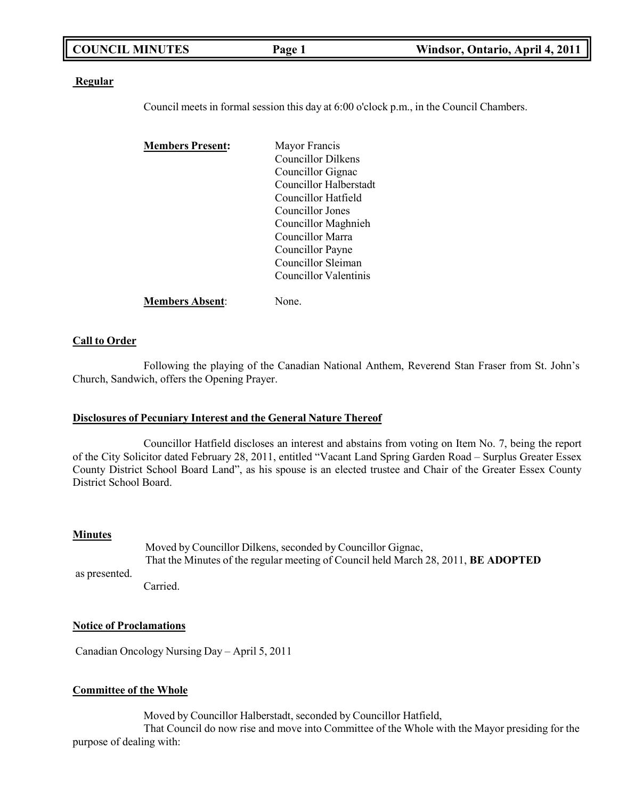| <b>COUNCIL MINUTES</b> | Page 1 | Windsor, Ontario, April 4, 2011 |
|------------------------|--------|---------------------------------|
|                        |        |                                 |

### **Regular**

Council meets in formal session this day at 6:00 o'clock p.m., in the Council Chambers.

| <b>Members Present:</b> | Mayor Francis                 |
|-------------------------|-------------------------------|
|                         | Councillor Dilkens            |
|                         | Councillor Gignac             |
|                         | <b>Councillor Halberstadt</b> |
|                         | Councillor Hatfield           |
|                         | Councillor Jones              |
|                         | Councillor Maghnieh           |
|                         | Councillor Marra              |
|                         | Councillor Payne              |
|                         | Councillor Sleiman            |
|                         | Councillor Valentinis         |
| <b>Members Absent:</b>  | Jone.                         |

### **Call to Order**

Following the playing of the Canadian National Anthem, Reverend Stan Fraser from St. John's Church, Sandwich, offers the Opening Prayer.

#### **Disclosures of Pecuniary Interest and the General Nature Thereof**

Councillor Hatfield discloses an interest and abstains from voting on Item No. 7, being the report of the City Solicitor dated February 28, 2011, entitled "Vacant Land Spring Garden Road – Surplus Greater Essex County District School Board Land", as his spouse is an elected trustee and Chair of the Greater Essex County District School Board.

#### **Minutes**

Moved by Councillor Dilkens, seconded by Councillor Gignac, That the Minutes of the regular meeting of Council held March 28, 2011, **BE ADOPTED** Carried.

as presented.

### **Notice of Proclamations**

Canadian Oncology Nursing Day – April 5, 2011

#### **Committee of the Whole**

Moved by Councillor Halberstadt, seconded by Councillor Hatfield,

That Council do now rise and move into Committee of the Whole with the Mayor presiding for the purpose of dealing with: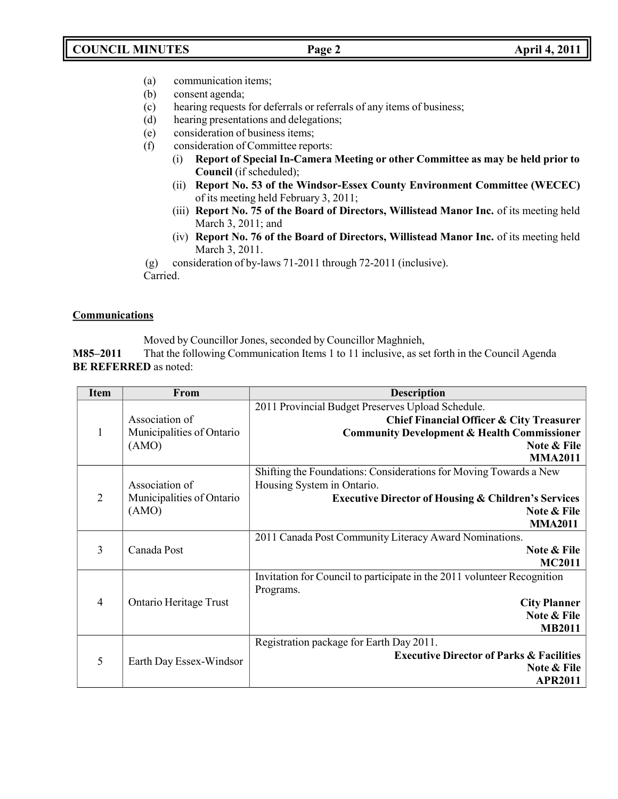- (a) communication items;
- (b) consent agenda;
- (c) hearing requests for deferrals or referrals of any items of business;
- (d) hearing presentations and delegations;
- (e) consideration of business items;
- (f) consideration of Committee reports:
	- (i) **Report of Special In-Camera Meeting or other Committee as may be held prior to Council** (if scheduled);
	- (ii) **Report No. 53 of the Windsor-Essex County Environment Committee (WECEC)** of its meeting held February 3, 2011;
	- (iii) **Report No. 75 of the Board of Directors, Willistead Manor Inc.** of its meeting held March 3, 2011; and
	- (iv) **Report No. 76 of the Board of Directors, Willistead Manor Inc.** of its meeting held March 3, 2011.

(g) consideration of by-laws 71-2011 through 72-2011 (inclusive). Carried.

**Communications**

Moved by Councillor Jones, seconded by Councillor Maghnieh,

**M85–2011** That the following Communication Items 1 to 11 inclusive, as set forth in the Council Agenda **BE REFERRED** as noted:

| <b>Item</b>    | From                      | <b>Description</b>                                                      |
|----------------|---------------------------|-------------------------------------------------------------------------|
|                |                           | 2011 Provincial Budget Preserves Upload Schedule.                       |
|                | Association of            | <b>Chief Financial Officer &amp; City Treasurer</b>                     |
| 1              | Municipalities of Ontario | <b>Community Development &amp; Health Commissioner</b>                  |
|                | (AMO)                     | Note & File                                                             |
|                |                           | <b>MMA2011</b>                                                          |
|                |                           | Shifting the Foundations: Considerations for Moving Towards a New       |
|                | Association of            | Housing System in Ontario.                                              |
| $\overline{2}$ | Municipalities of Ontario | <b>Executive Director of Housing &amp; Children's Services</b>          |
|                | (AMO)                     | Note & File                                                             |
|                |                           | <b>MMA2011</b>                                                          |
|                |                           | 2011 Canada Post Community Literacy Award Nominations.                  |
| 3              | Canada Post               | Note & File                                                             |
|                |                           | <b>MC2011</b>                                                           |
|                |                           | Invitation for Council to participate in the 2011 volunteer Recognition |
|                |                           | Programs.                                                               |
| $\overline{4}$ | Ontario Heritage Trust    | <b>City Planner</b>                                                     |
|                |                           | Note & File                                                             |
|                |                           | <b>MB2011</b>                                                           |
|                |                           | Registration package for Earth Day 2011.                                |
| 5              | Earth Day Essex-Windsor   | <b>Executive Director of Parks &amp; Facilities</b>                     |
|                |                           | Note & File                                                             |
|                |                           | <b>APR2011</b>                                                          |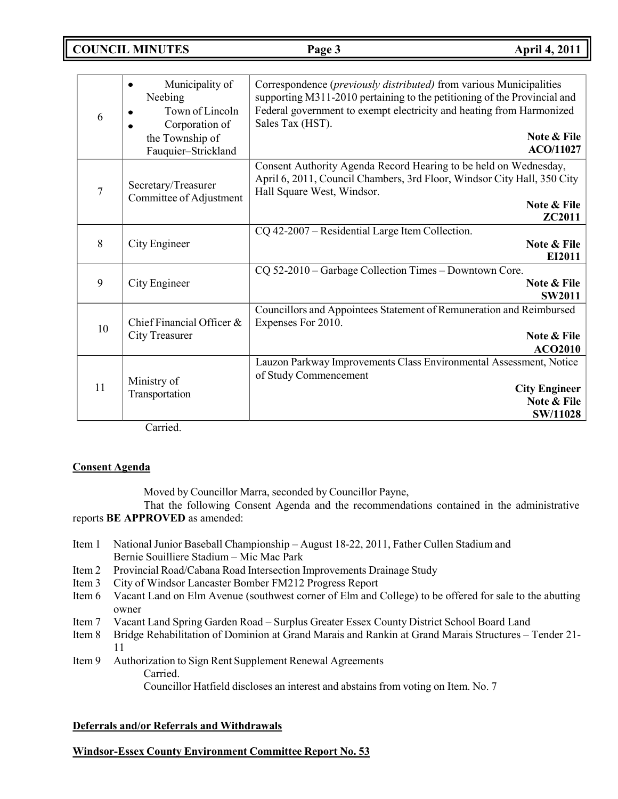## **COUNCIL MINUTES Page 3 April 4, 2011**

| 6              | Municipality of<br>Neebing<br>Town of Lincoln<br>Corporation of<br>the Township of<br>Fauquier-Strickland | Correspondence ( <i>previously distributed</i> ) from various Municipalities<br>supporting M311-2010 pertaining to the petitioning of the Provincial and<br>Federal government to exempt electricity and heating from Harmonized<br>Sales Tax (HST).<br>Note & File<br>ACO/11027 |
|----------------|-----------------------------------------------------------------------------------------------------------|----------------------------------------------------------------------------------------------------------------------------------------------------------------------------------------------------------------------------------------------------------------------------------|
| $\overline{7}$ | Secretary/Treasurer<br>Committee of Adjustment                                                            | Consent Authority Agenda Record Hearing to be held on Wednesday,<br>April 6, 2011, Council Chambers, 3rd Floor, Windsor City Hall, 350 City<br>Hall Square West, Windsor.<br>Note & File<br>ZC2011                                                                               |
| 8              | City Engineer                                                                                             | CQ 42-2007 - Residential Large Item Collection.<br>Note & File<br>EI2011                                                                                                                                                                                                         |
| 9              | City Engineer                                                                                             | CQ 52-2010 – Garbage Collection Times – Downtown Core.<br>Note & File<br><b>SW2011</b>                                                                                                                                                                                           |
| 10             | Chief Financial Officer &<br><b>City Treasurer</b>                                                        | Councillors and Appointees Statement of Remuneration and Reimbursed<br>Expenses For 2010.<br>Note & File<br><b>ACO2010</b>                                                                                                                                                       |
| 11             | Ministry of<br>Transportation                                                                             | Lauzon Parkway Improvements Class Environmental Assessment, Notice<br>of Study Commencement<br><b>City Engineer</b><br>Note & File<br><b>SW/11028</b>                                                                                                                            |

Carried.

## **Consent Agenda**

Moved by Councillor Marra, seconded by Councillor Payne,

That the following Consent Agenda and the recommendations contained in the administrative reports **BE APPROVED** as amended:

- Item 1 National Junior Baseball Championship August 18-22, 2011, Father Cullen Stadium and Bernie Souilliere Stadium – Mic Mac Park
- Item 2 Provincial Road/Cabana Road Intersection Improvements Drainage Study
- Item 3 City of Windsor Lancaster Bomber FM212 Progress Report
- Item 6 Vacant Land on Elm Avenue (southwest corner of Elm and College) to be offered for sale to the abutting owner
- Item 7 Vacant Land Spring Garden Road Surplus Greater Essex County District School Board Land
- Item 8 Bridge Rehabilitation of Dominion at Grand Marais and Rankin at Grand Marais Structures Tender 21- 11
- Item 9 Authorization to Sign Rent Supplement Renewal Agreements Carried.

## Councillor Hatfield discloses an interest and abstains from voting on Item. No. 7

## **Deferrals and/or Referrals and Withdrawals**

## **Windsor-Essex County Environment Committee Report No. 53**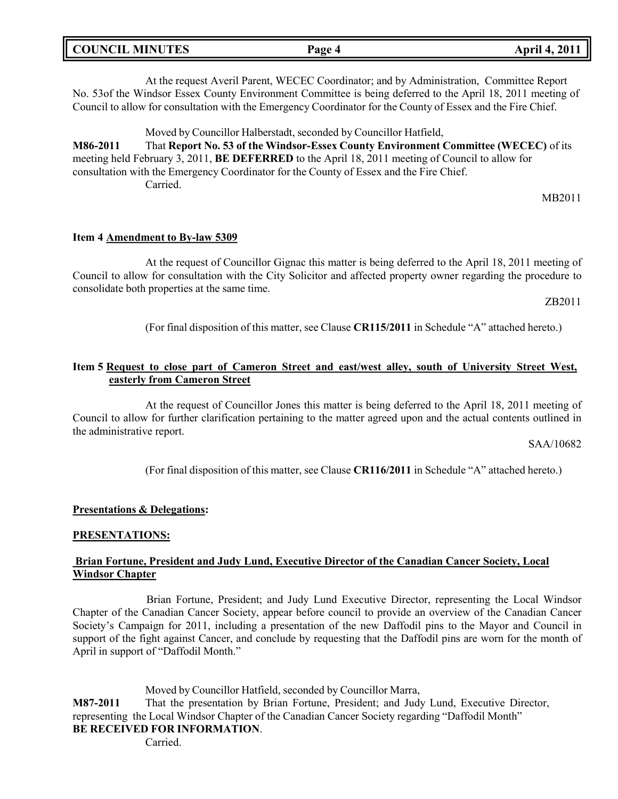| <b>COUNCIL MINUTES</b> | Page 4 | <b>April 4, 2011</b> |
|------------------------|--------|----------------------|
|                        |        |                      |

At the request Averil Parent, WECEC Coordinator; and by Administration, Committee Report No. 53of the Windsor Essex County Environment Committee is being deferred to the April 18, 2011 meeting of Council to allow for consultation with the Emergency Coordinator for the County of Essex and the Fire Chief.

Moved by Councillor Halberstadt, seconded by Councillor Hatfield, **M86-2011** That **Report No. 53 of the Windsor-Essex County Environment Committee (WECEC)** of its meeting held February 3, 2011, **BE DEFERRED** to the April 18, 2011 meeting of Council to allow for consultation with the Emergency Coordinator for the County of Essex and the Fire Chief. Carried.

MB2011

### **Item 4 Amendment to By-law 5309**

At the request of Councillor Gignac this matter is being deferred to the April 18, 2011 meeting of Council to allow for consultation with the City Solicitor and affected property owner regarding the procedure to consolidate both properties at the same time.

ZB2011

(For final disposition of this matter, see Clause **CR115/2011** in Schedule "A" attached hereto.)

## **Item 5 Request to close part of Cameron Street and east/west alley, south of University Street West, easterly from Cameron Street**

At the request of Councillor Jones this matter is being deferred to the April 18, 2011 meeting of Council to allow for further clarification pertaining to the matter agreed upon and the actual contents outlined in the administrative report.

SAA/10682

(For final disposition of this matter, see Clause **CR116/2011** in Schedule "A" attached hereto.)

### **Presentations & Delegations:**

## **PRESENTATIONS:**

## **Brian Fortune, President and Judy Lund, Executive Director of the Canadian Cancer Society, Local Windsor Chapter**

Brian Fortune, President; and Judy Lund Executive Director, representing the Local Windsor Chapter of the Canadian Cancer Society, appear before council to provide an overview of the Canadian Cancer Society's Campaign for 2011, including a presentation of the new Daffodil pins to the Mayor and Council in support of the fight against Cancer, and conclude by requesting that the Daffodil pins are worn for the month of April in support of "Daffodil Month."

Moved by Councillor Hatfield, seconded by Councillor Marra,

**M87-2011** That the presentation by Brian Fortune, President; and Judy Lund, Executive Director, representing the Local Windsor Chapter of the Canadian Cancer Society regarding "Daffodil Month" **BE RECEIVED FOR INFORMATION**.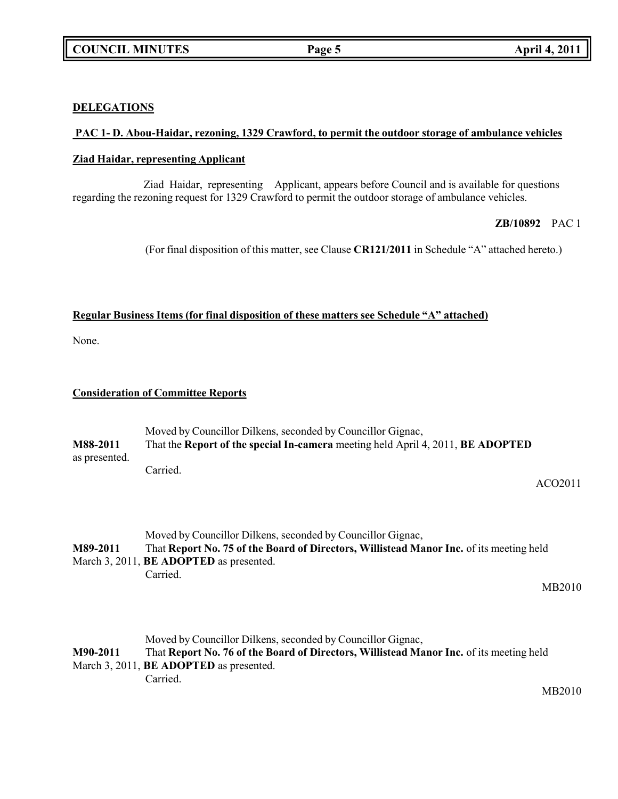## **DELEGATIONS**

## **PAC 1- D. Abou-Haidar, rezoning, 1329 Crawford, to permit the outdoor storage of ambulance vehicles**

## **Ziad Haidar, representing Applicant**

Ziad Haidar, representing Applicant, appears before Council and is available for questions regarding the rezoning request for 1329 Crawford to permit the outdoor storage of ambulance vehicles.

## **ZB/10892** PAC 1

(For final disposition of this matter, see Clause **CR121/2011** in Schedule "A" attached hereto.)

## **Regular Business Items (for final disposition of these matters see Schedule "A" attached)**

None.

## **Consideration of Committee Reports**

| M88-2011      | Moved by Councillor Dilkens, seconded by Councillor Gignac,<br>That the Report of the special In-camera meeting held April 4, 2011, BE ADOPTED                                                                                                                                                                                                                                                                                                                                     |
|---------------|------------------------------------------------------------------------------------------------------------------------------------------------------------------------------------------------------------------------------------------------------------------------------------------------------------------------------------------------------------------------------------------------------------------------------------------------------------------------------------|
| as presented. | Carried.<br>ACO2011                                                                                                                                                                                                                                                                                                                                                                                                                                                                |
|               |                                                                                                                                                                                                                                                                                                                                                                                                                                                                                    |
| M89-2011      | Moved by Councillor Dilkens, seconded by Councillor Gignac,<br>That Report No. 75 of the Board of Directors, Willistead Manor Inc. of its meeting held                                                                                                                                                                                                                                                                                                                             |
|               | $\mathbf{M} = \mathbf{1} \cdot \mathbf{A} \cdot \mathbf{A} \cdot \mathbf{A} \cdot \mathbf{B} \cdot \mathbf{B} \cdot \mathbf{A} \cdot \mathbf{B} \cdot \mathbf{B} \cdot \mathbf{B} \cdot \mathbf{B} \cdot \mathbf{A} \cdot \mathbf{B} \cdot \mathbf{B} \cdot \mathbf{B} \cdot \mathbf{B} \cdot \mathbf{B} \cdot \mathbf{B} \cdot \mathbf{B} \cdot \mathbf{B} \cdot \mathbf{B} \cdot \mathbf{B} \cdot \mathbf{B} \cdot \mathbf{B} \cdot \mathbf{B} \cdot \mathbf{B} \cdot \mathbf{B$ |

March 3, 2011, **BE ADOPTED** as presented. Carried.

MB2010

Moved by Councillor Dilkens, seconded by Councillor Gignac, **M90-2011** That **Report No. 76 of the Board of Directors, Willistead Manor Inc.** of its meeting held March 3, 2011, **BE ADOPTED** as presented. Carried.

MB2010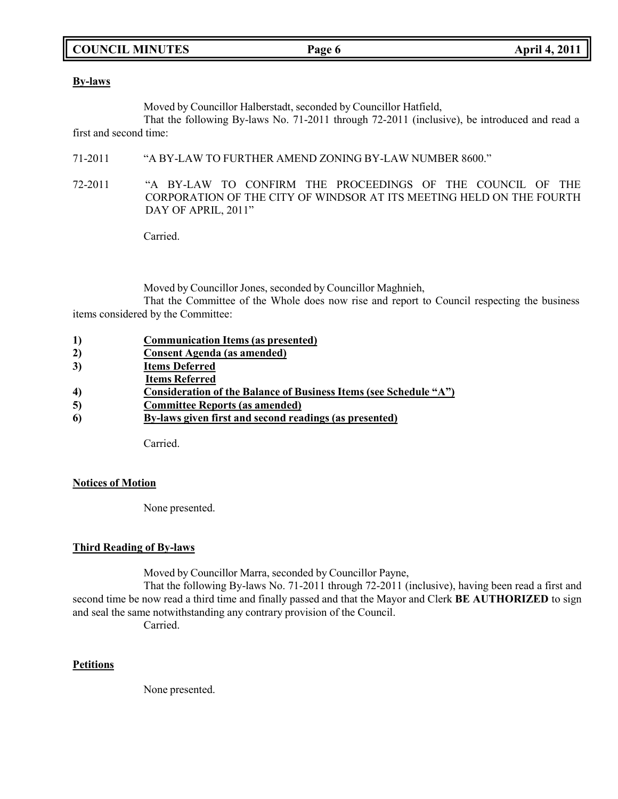## **COUNCIL MINUTES Page 6 April 4, 2011**

### **By-laws**

Moved by Councillor Halberstadt, seconded by Councillor Hatfield,

That the following By-laws No. 71-2011 through 72-2011 (inclusive), be introduced and read a first and second time:

- 71-2011 "A BY-LAW TO FURTHER AMEND ZONING BY-LAW NUMBER 8600."
- 72-2011 "A BY-LAW TO CONFIRM THE PROCEEDINGS OF THE COUNCIL OF THE CORPORATION OF THE CITY OF WINDSOR AT ITS MEETING HELD ON THE FOURTH DAY OF APRIL, 2011"

Carried.

Moved by Councillor Jones, seconded by Councillor Maghnieh,

That the Committee of the Whole does now rise and report to Council respecting the business items considered by the Committee:

| <b>Communication Items (as presented)</b> |
|-------------------------------------------|
|-------------------------------------------|

- **2) Consent Agenda (as amended)**
- **3) Items Deferred**
- **Items Referred**
- **4) Consideration of the Balance of Business Items (see Schedule "A")**
- **5) Committee Reports (as amended)**
- **6) By-laws given first and second readings (as presented)**

Carried.

## **Notices of Motion**

None presented.

## **Third Reading of By-laws**

Moved by Councillor Marra, seconded by Councillor Payne,

That the following By-laws No. 71-2011 through 72-2011 (inclusive), having been read a first and second time be now read a third time and finally passed and that the Mayor and Clerk **BE AUTHORIZED** to sign and seal the same notwithstanding any contrary provision of the Council.

Carried.

## **Petitions**

None presented.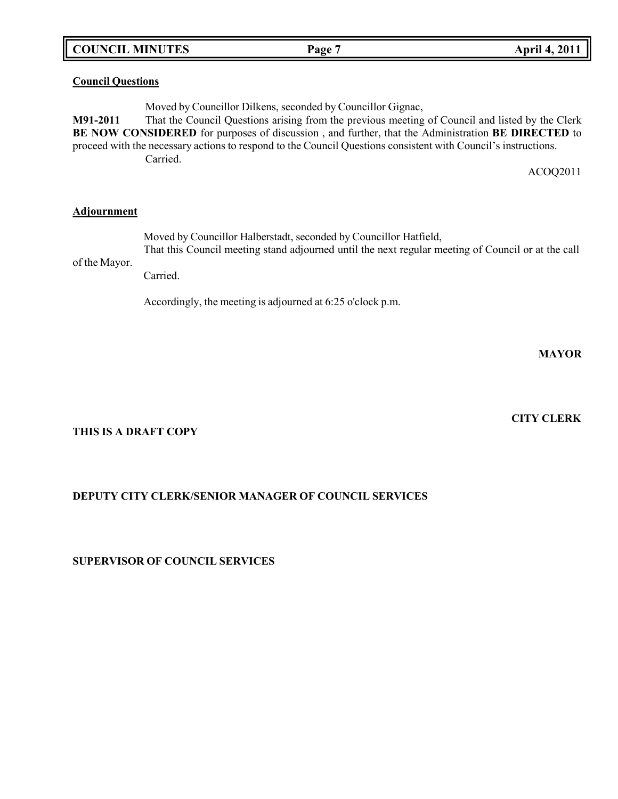| <b>COUNCIL MINUTES</b> |  |
|------------------------|--|
|------------------------|--|

## **Council Questions**

Moved by Councillor Dilkens, seconded by Councillor Gignac, **M91-2011** That the Council Questions arising from the previous meeting of Council and listed by the Clerk **BE NOW CONSIDERED** for purposes of discussion , and further, that the Administration **BE DIRECTED** to proceed with the necessary actions to respond to the Council Questions consistent with Council's instructions. Carried.

ACOQ2011

## **Adjournment**

Moved by Councillor Halberstadt, seconded by Councillor Hatfield,

of the Mayor. That this Council meeting stand adjourned until the next regular meeting of Council or at the call

Carried.

Accordingly, the meeting is adjourned at 6:25 o'clock p.m.

**MAYOR**

## **CITY CLERK**

## **THIS IS A DRAFT COPY**

## **DEPUTY CITY CLERK/SENIOR MANAGER OF COUNCIL SERVICES**

## **SUPERVISOR OF COUNCIL SERVICES**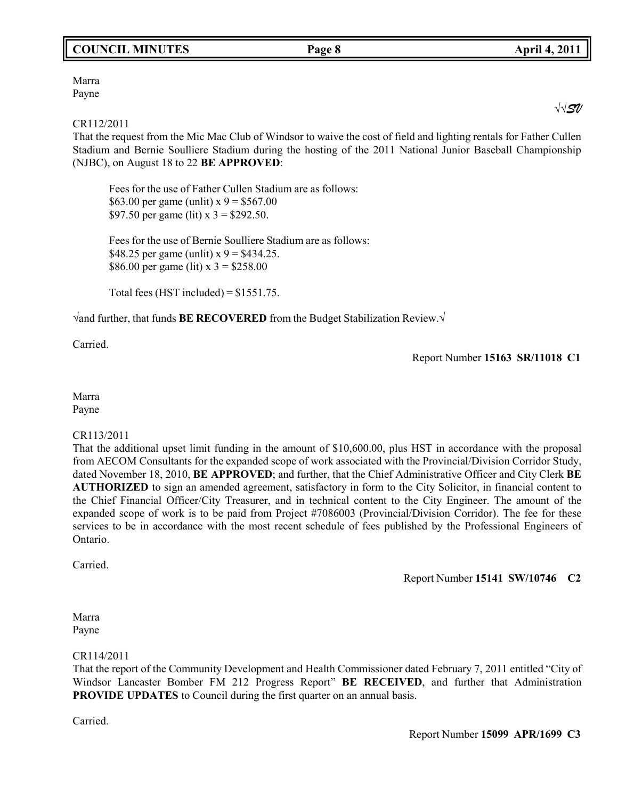## **COUNCIL MINUTES Page 8 April 4, 2011**

Marra Payne

### CR112/2011

That the request from the Mic Mac Club of Windsor to waive the cost of field and lighting rentals for Father Cullen Stadium and Bernie Soulliere Stadium during the hosting of the 2011 National Junior Baseball Championship (NJBC), on August 18 to 22 **BE APPROVED**:

Fees for the use of Father Cullen Stadium are as follows: \$63.00 per game (unlit)  $x = 9$  = \$567.00 \$97.50 per game (lit)  $x = 3 = 292.50$ .

Fees for the use of Bernie Soulliere Stadium are as follows: \$48.25 per game (unlit)  $x = 9$  = \$434.25. \$86.00 per game (lit)  $x = 3258.00$ 

Total fees (HST included) =  $$1551.75$ .

√and further, that funds **BE RECOVERED** from the Budget Stabilization Review.√

Carried.

Report Number **15163 SR/11018 C1**

Marra Payne

## CR113/2011

That the additional upset limit funding in the amount of \$10,600.00, plus HST in accordance with the proposal from AECOM Consultants for the expanded scope of work associated with the Provincial/Division Corridor Study, dated November 18, 2010, **BE APPROVED**; and further, that the Chief Administrative Officer and City Clerk **BE AUTHORIZED** to sign an amended agreement, satisfactory in form to the City Solicitor, in financial content to the Chief Financial Officer/City Treasurer, and in technical content to the City Engineer. The amount of the expanded scope of work is to be paid from Project #7086003 (Provincial/Division Corridor). The fee for these services to be in accordance with the most recent schedule of fees published by the Professional Engineers of Ontario.

Carried.

Report Number **15141 SW/10746 C2**

Marra Payne

## CR114/2011

That the report of the Community Development and Health Commissioner dated February 7, 2011 entitled "City of Windsor Lancaster Bomber FM 212 Progress Report" **BE RECEIVED**, and further that Administration **PROVIDE UPDATES** to Council during the first quarter on an annual basis.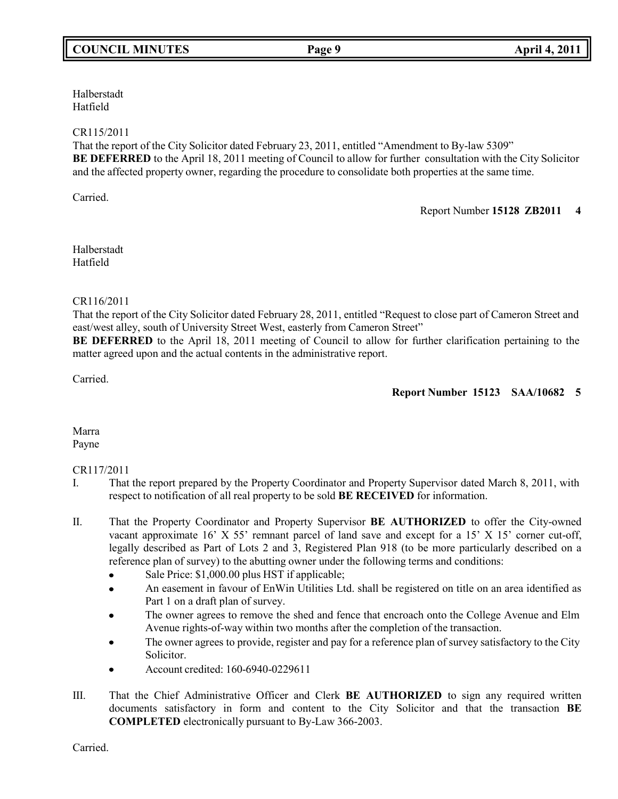## **COUNCIL MINUTES Page 9 April 4, 2011**

Halberstadt Hatfield

## CR115/2011

That the report of the City Solicitor dated February 23, 2011, entitled "Amendment to By-law 5309" **BE DEFERRED** to the April 18, 2011 meeting of Council to allow for further consultation with the City Solicitor and the affected property owner, regarding the procedure to consolidate both properties at the same time.

Carried.

Report Number **15128 ZB2011 4**

Halberstadt Hatfield

## CR116/2011

That the report of the City Solicitor dated February 28, 2011, entitled "Request to close part of Cameron Street and east/west alley, south of University Street West, easterly from Cameron Street"

**BE DEFERRED** to the April 18, 2011 meeting of Council to allow for further clarification pertaining to the matter agreed upon and the actual contents in the administrative report.

Carried.

## **Report Number 15123 SAA/10682 5**

Marra Payne

## CR117/2011

- I. That the report prepared by the Property Coordinator and Property Supervisor dated March 8, 2011, with respect to notification of all real property to be sold **BE RECEIVED** for information.
- II. That the Property Coordinator and Property Supervisor **BE AUTHORIZED** to offer the City-owned vacant approximate 16' X 55' remnant parcel of land save and except for a 15' X 15' corner cut-off, legally described as Part of Lots 2 and 3, Registered Plan 918 (to be more particularly described on a reference plan of survey) to the abutting owner under the following terms and conditions:
	- Sale Price: \$1,000.00 plus HST if applicable;
	- An easement in favour of EnWin Utilities Ltd. shall be registered on title on an area identified as Part 1 on a draft plan of survey.
	- The owner agrees to remove the shed and fence that encroach onto the College Avenue and Elm Avenue rights-of-way within two months after the completion of the transaction.
	- The owner agrees to provide, register and pay for a reference plan of survey satisfactory to the City Solicitor.
	- Account credited: 160-6940-0229611
- III. That the Chief Administrative Officer and Clerk **BE AUTHORIZED** to sign any required written documents satisfactory in form and content to the City Solicitor and that the transaction **BE COMPLETED** electronically pursuant to By-Law 366-2003.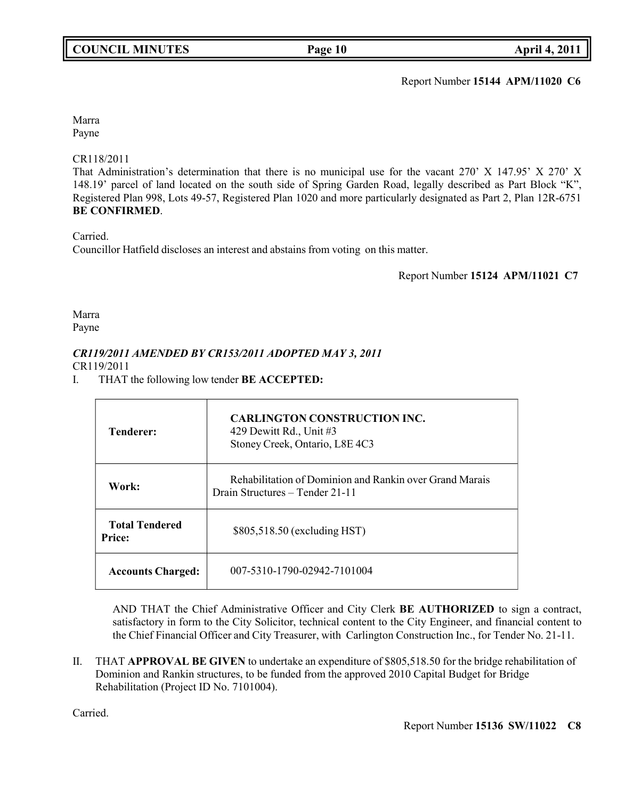Report Number **15144 APM/11020 C6**

Marra Payne

## CR118/2011

That Administration's determination that there is no municipal use for the vacant 270' X 147.95' X 270' X 148.19' parcel of land located on the south side of Spring Garden Road, legally described as Part Block "K", Registered Plan 998, Lots 49-57, Registered Plan 1020 and more particularly designated as Part 2, Plan 12R-6751 **BE CONFIRMED**.

Carried.

Councillor Hatfield discloses an interest and abstains from voting on this matter.

Report Number **15124 APM/11021 C7**

# Marra

Payne

## *CR119/2011 AMENDED BY CR153/2011 ADOPTED MAY 3, 2011*

CR119/2011

I. THAT the following low tender **BE ACCEPTED:**

| <b>Tenderer:</b>                       | <b>CARLINGTON CONSTRUCTION INC.</b><br>429 Dewitt Rd., Unit #3<br>Stoney Creek, Ontario, L8E 4C3 |
|----------------------------------------|--------------------------------------------------------------------------------------------------|
| Work:                                  | Rehabilitation of Dominion and Rankin over Grand Marais<br>Drain Structures – Tender 21-11       |
| <b>Total Tendered</b><br><b>Price:</b> | \$805,518.50 (excluding HST)                                                                     |
| <b>Accounts Charged:</b>               | 007-5310-1790-02942-7101004                                                                      |

AND THAT the Chief Administrative Officer and City Clerk **BE AUTHORIZED** to sign a contract, satisfactory in form to the City Solicitor, technical content to the City Engineer, and financial content to the Chief Financial Officer and City Treasurer, with Carlington Construction Inc., for Tender No. 21-11.

II. THAT **APPROVAL BE GIVEN** to undertake an expenditure of \$805,518.50 for the bridge rehabilitation of Dominion and Rankin structures, to be funded from the approved 2010 Capital Budget for Bridge Rehabilitation (Project ID No. 7101004).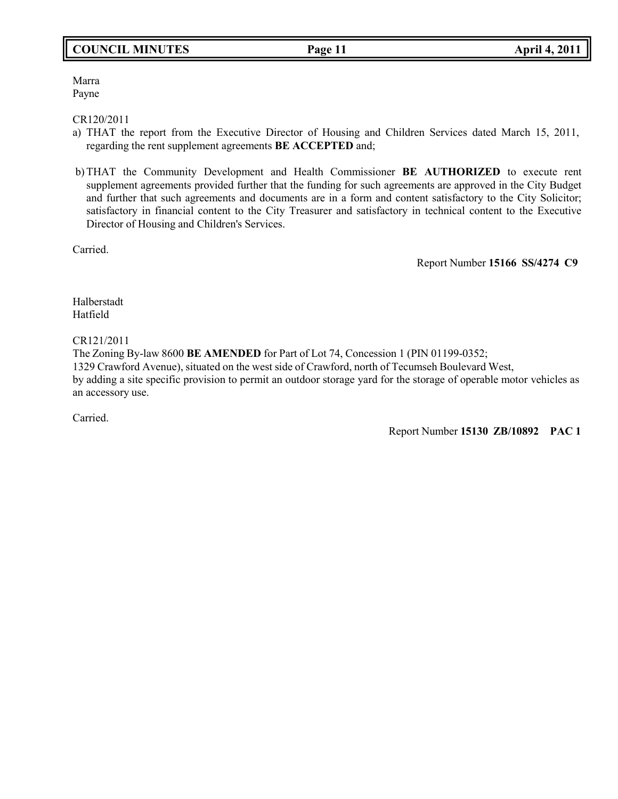## **COUNCIL MINUTES Page 11 April 4, 2011**

Marra Payne

CR120/2011

- a) THAT the report from the Executive Director of Housing and Children Services dated March 15, 2011, regarding the rent supplement agreements **BE ACCEPTED** and;
- b) THAT the Community Development and Health Commissioner **BE AUTHORIZED** to execute rent supplement agreements provided further that the funding for such agreements are approved in the City Budget and further that such agreements and documents are in a form and content satisfactory to the City Solicitor; satisfactory in financial content to the City Treasurer and satisfactory in technical content to the Executive Director of Housing and Children's Services.

Carried.

Report Number **15166 SS/4274 C9**

Halberstadt Hatfield

CR121/2011

The Zoning By-law 8600 **BE AMENDED** for Part of Lot 74, Concession 1 (PIN 01199-0352; 1329 Crawford Avenue), situated on the west side of Crawford, north of Tecumseh Boulevard West, by adding a site specific provision to permit an outdoor storage yard for the storage of operable motor vehicles as an accessory use.

Carried.

Report Number **15130 ZB/10892 PAC 1**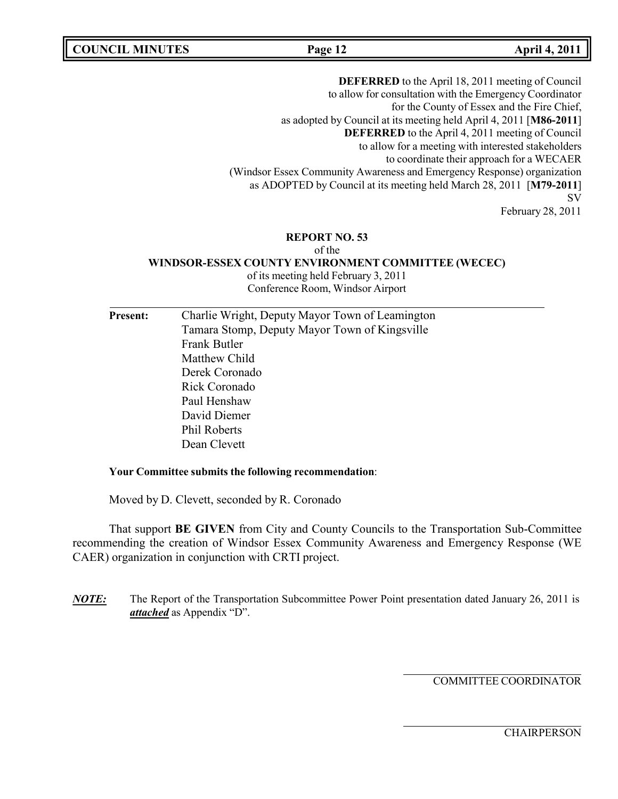**COUNCIL MINUTES Page 12 April 4, 2011**

**DEFERRED** to the April 18, 2011 meeting of Council to allow for consultation with the Emergency Coordinator for the County of Essex and the Fire Chief, as adopted by Council at its meeting held April 4, 2011 [**M86-2011**] **DEFERRED** to the April 4, 2011 meeting of Council to allow for a meeting with interested stakeholders to coordinate their approach for a WECAER (Windsor Essex Community Awareness and Emergency Response) organization as ADOPTED by Council at its meeting held March 28, 2011 [**M79-2011**] SV

February 28, 2011

### **REPORT NO. 53**

#### of the

**WINDSOR-ESSEX COUNTY ENVIRONMENT COMMITTEE (WECEC)**

of its meeting held February 3, 2011 Conference Room, Windsor Airport

**Present:** Charlie Wright, Deputy Mayor Town of Leamington Tamara Stomp, Deputy Mayor Town of Kingsville Frank Butler Matthew Child Derek Coronado Rick Coronado Paul Henshaw David Diemer Phil Roberts Dean Clevett

### **Your Committee submits the following recommendation**:

Moved by D. Clevett, seconded by R. Coronado

That support **BE GIVEN** from City and County Councils to the Transportation Sub-Committee recommending the creation of Windsor Essex Community Awareness and Emergency Response (WE CAER) organization in conjunction with CRTI project.

*NOTE:* The Report of the Transportation Subcommittee Power Point presentation dated January 26, 2011 is *attached* as Appendix "D".

COMMITTEE COORDINATOR

**CHAIRPERSON**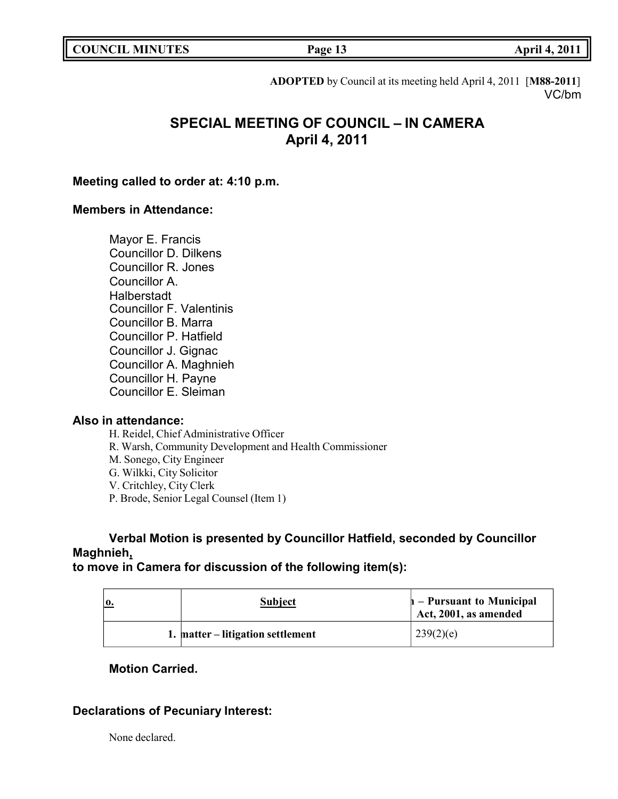**COUNCIL MINUTES Page 13 April 4, 2011**

**ADOPTED** by Council at its meeting held April 4, 2011 [**M88-2011**] VC/bm

## **SPECIAL MEETING OF COUNCIL – IN CAMERA April 4, 2011**

## **Meeting called to order at: 4:10 p.m.**

## **Members in Attendance:**

Mayor E. Francis Councillor D. Dilkens Councillor R. Jones Councillor A. **Halberstadt** Councillor F. Valentinis Councillor B. Marra Councillor P. Hatfield Councillor J. Gignac Councillor A. Maghnieh Councillor H. Payne Councillor E. Sleiman

## **Also in attendance:**

H. Reidel, Chief Administrative Officer

- R. Warsh, Community Development and Health Commissioner
- M. Sonego, City Engineer
- G. Wilkki, City Solicitor
- V. Critchley, City Clerk
- P. Brode, Senior Legal Counsel (Item 1)

## **Verbal Motion is presented by Councillor Hatfield, seconded by Councillor Maghnieh,**

## **to move in Camera for discussion of the following item(s):**

| 0. | <b>Subject</b>                    | $h$ – Pursuant to Municipal<br>Act, 2001, as amended |
|----|-----------------------------------|------------------------------------------------------|
|    | 1. matter – litigation settlement | 239(2)(e)                                            |

## **Motion Carried.**

## **Declarations of Pecuniary Interest:**

None declared.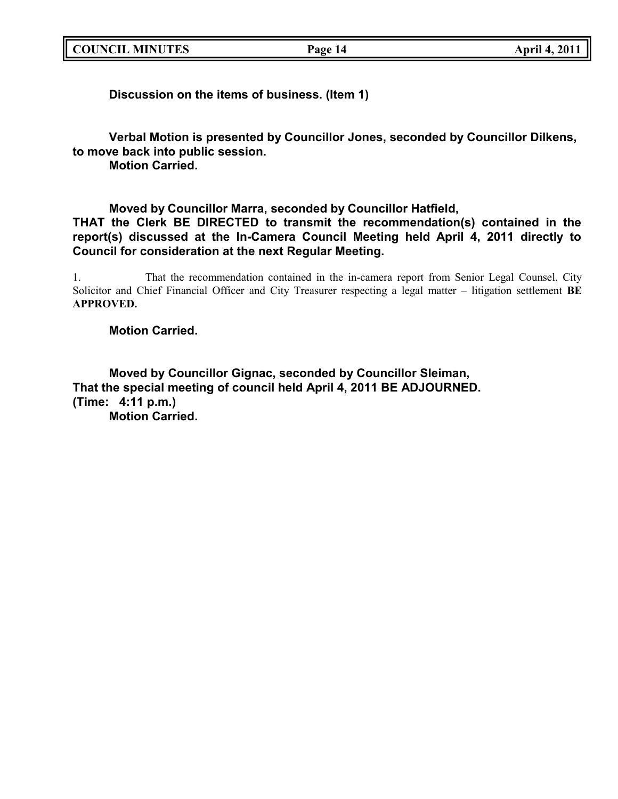|  | <b>COUNCIL MINUTES</b> |
|--|------------------------|
|--|------------------------|

**Discussion on the items of business. (Item 1)**

**Verbal Motion is presented by Councillor Jones, seconded by Councillor Dilkens, to move back into public session.**

**Motion Carried.**

**Moved by Councillor Marra, seconded by Councillor Hatfield, THAT the Clerk BE DIRECTED to transmit the recommendation(s) contained in the report(s) discussed at the In-Camera Council Meeting held April 4, 2011 directly to Council for consideration at the next Regular Meeting.**

1. That the recommendation contained in the in-camera report from Senior Legal Counsel, City Solicitor and Chief Financial Officer and City Treasurer respecting a legal matter – litigation settlement **BE APPROVED.**

## **Motion Carried.**

**Moved by Councillor Gignac, seconded by Councillor Sleiman, That the special meeting of council held April 4, 2011 BE ADJOURNED. (Time: 4:11 p.m.) Motion Carried.**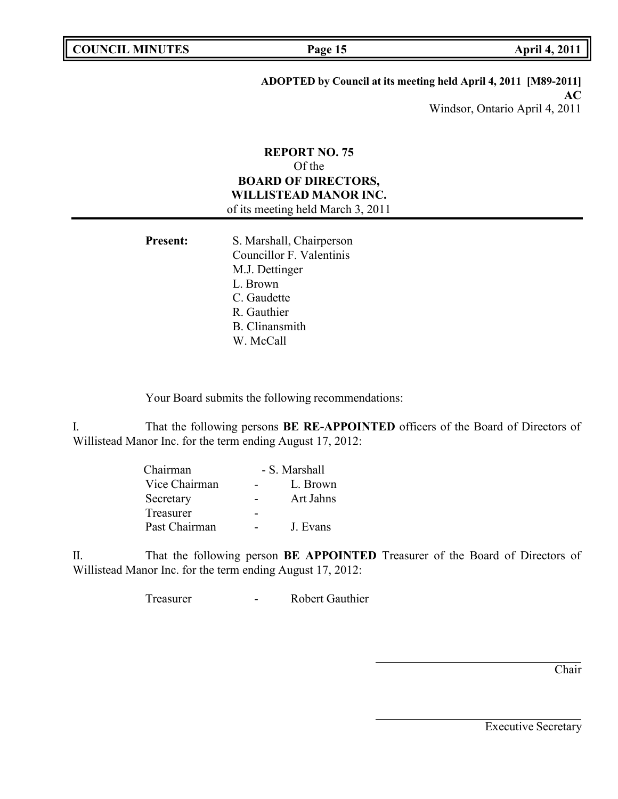## **ADOPTED by Council at its meeting held April 4, 2011 [M89-2011]**

**AC** Windsor, Ontario April 4, 2011

## **REPORT NO. 75** Of the **BOARD OF DIRECTORS, WILLISTEAD MANOR INC.** of its meeting held March 3, 2011

| <b>Present:</b> | S. Marshall, Chairperson |
|-----------------|--------------------------|
|                 | Councillor F. Valentinis |
|                 | M.J. Dettinger           |
|                 | L. Brown                 |
|                 | C. Gaudette              |
|                 | R. Gauthier              |
|                 | <b>B.</b> Clinansmith    |
|                 | W. McCall                |

Your Board submits the following recommendations:

I. That the following persons **BE RE-APPOINTED** officers of the Board of Directors of Willistead Manor Inc. for the term ending August 17, 2012:

| Chairman         | - S. Marshall |
|------------------|---------------|
| Vice Chairman    | L. Brown      |
| Secretary        | Art Jahns     |
| <b>Treasurer</b> |               |
| Past Chairman    | J. Evans      |

II. That the following person **BE APPOINTED** Treasurer of the Board of Directors of Willistead Manor Inc. for the term ending August 17, 2012:

Treasurer - Robert Gauthier

Chair

Executive Secretary